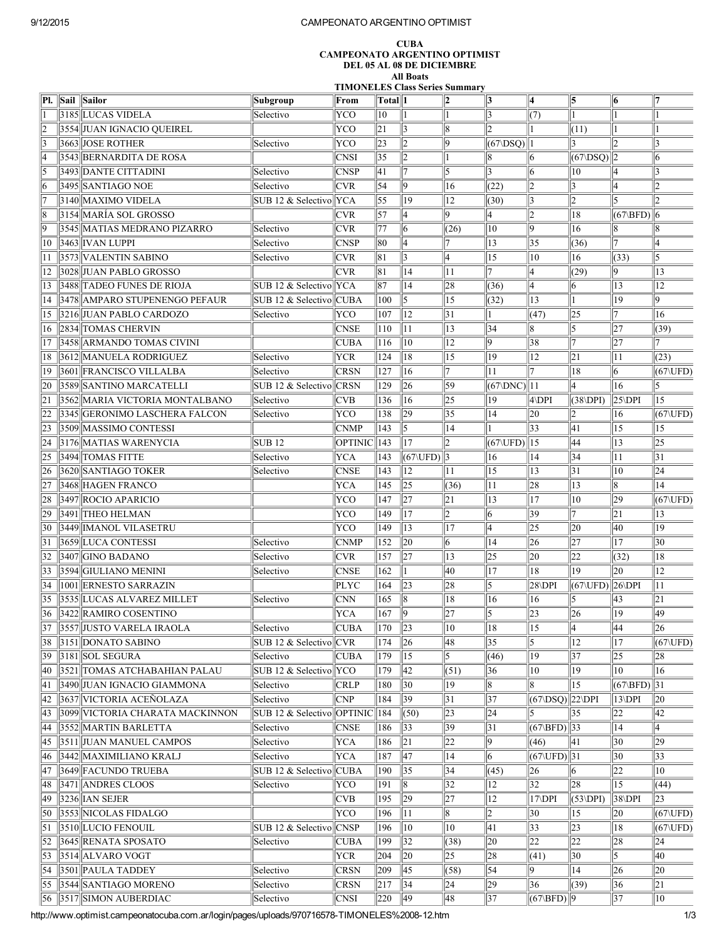## 9/12/2015 CAMPEONATO ARGENTINO OPTIMIST

## CUBA CAMPEONATO ARGENTINO OPTIMIST DEL 05 AL 08 DE DICIEMBRE All Boats

TIMONELES Class Series Summary

| PI. | Sail   Sailor                          | Subgroup                   | From           | Total  1    |                               | 2            | 13                     | 14                                                     | 5                               | 6                          | 17                          |
|-----|----------------------------------------|----------------------------|----------------|-------------|-------------------------------|--------------|------------------------|--------------------------------------------------------|---------------------------------|----------------------------|-----------------------------|
|     | 3185  LUCAS VIDELA                     | Selectivo                  | YCO            | 10          |                               |              | 13                     | (7)                                                    |                                 |                            |                             |
| 2   | 3554 JUAN IGNACIO QUEIREL              |                            | YCO            | 21          | $\vert$ 3                     | 8            | Þ.                     |                                                        | (11)                            |                            |                             |
| 13  | 3663  JOSE ROTHER                      | Selectivo                  | YCO            | 23          | $ 2\rangle$                   | 9            | $(67\Delta)$   1       |                                                        | 13                              | 12                         | 13                          |
| 4   | 3543 BERNARDITA DE ROSA                |                            | <b>CNSI</b>    | $\vert$ 35  | $ 2\rangle$                   |              | 18                     | 16                                                     | $ (67\backslash \text{DSQ})  2$ |                            | 16                          |
| 15  | 3493 DANTE CITTADINI                   | Selectivo                  | <b>CNSP</b>    | 41          | 17                            | l5           | 13                     | 6                                                      | 10                              | 14                         | 13                          |
| 16  | 3495  SANTIAGO NOE                     | Selectivo                  | <b>CVR</b>     | 54          | 9                             | 16           | (22)                   | 2                                                      | 3                               | 14                         | 2                           |
|     | 3140  MAXIMO VIDELA                    | SUB 12 & Selectivo   YCA   |                | 55          | $ 19\rangle$                  | 12           | (30)                   | 3                                                      | 12                              | 15                         | 12                          |
| 18  | 3154  MARÍA SOL GROSSO                 |                            | <b>CVR</b>     | 57          | 14                            | 9            | 4                      | 2                                                      | 18                              | $(67\cdot\text{BFD})$ 6    |                             |
| 19  | 3545  MATIAS MEDRANO PIZARRO           | Selectivo                  | <b>CVR</b>     | 77          | 16                            | (26)         | 10                     | 19                                                     | 16                              | 18                         | 18                          |
| 110 | 3463 IVAN LUPPI                        | Selectivo                  | <b>CNSP</b>    | 80          | 14                            |              | 13                     | 35                                                     | (36)                            | 17                         | 14                          |
| 11  | 3573 VALENTIN SABINO                   | Selectivo                  | <b>CVR</b>     | 81          | 3                             | l4           | 15                     | 10                                                     | 16                              | (33)                       | 5                           |
| 12  | 3028 JUAN PABLO GROSSO                 |                            | <b>CVR</b>     | 81          | 14                            | 11           | 17                     | 4                                                      | (29)                            | 19                         | 13                          |
| 13  | 3488 TADEO FUNES DE RIOJA              | SUB 12 & Selectivo YCA     |                | 187         | 14                            | 28           | (36)                   | 4                                                      | 16                              | 13                         | $ 12\rangle$                |
| 14  | 3478 AMPARO STUPENENGO PEFAUR          | SUB 12 & Selectivo CUBA    |                | 100         | 15                            | 15           | (32)                   | 13                                                     |                                 | 19                         | 9                           |
| 15  | 3216 JUAN PABLO CARDOZO                | Selectivo                  | YCO            | 107         | $\parallel$ 12                | 31           |                        | (47)                                                   | 25                              | 17                         | 16                          |
| 16  | 2834  TOMAS CHERVIN                    |                            | <b>CNSE</b>    | 110         | 11                            | 13           | 34                     | 18                                                     | 5                               | 27                         | (39)                        |
| 17  | 3458  ARMANDO TOMAS CIVINI             |                            | <b>CUBA</b>    | 116         | $ 10\rangle$                  | 12           | 19                     | 38                                                     | 17                              | 27                         | 7                           |
| 18  | 3612 MANUELA RODRIGUEZ                 | Selectivo                  | <b>YCR</b>     | 124         | 18                            | 15           | 19                     | 12                                                     | 21                              | 11                         | (23)                        |
| 19  | 3601  FRANCISCO VILLALBA               | Selectivo                  | <b>CRSN</b>    | 127         | <sup>16</sup>                 | 17           | 11                     | 17                                                     | 18                              | 6                          | $(67\text{UFD})$            |
| 20  | 3589 SANTINO MARCATELLI                | SUB 12 & Selectivo CRSN    |                | 129         | 26                            | 59           | $(67 \text{DNC})$   11 |                                                        | 4                               | 16                         |                             |
| 21  | 3562  MARIA VICTORIA MONTALBANO        | Selectivo                  | CVB            | 136         | 16                            | 25           | 19                     | $4\,$ DPI                                              | $(38\angle DPI)$                | $ 25\backslash\text{DPI} $ | 15                          |
| 22  | 3345  GERONIMO LASCHERA FALCON         | Selectivo                  | YCO            | 138         | 29                            | 35           | 14                     | 20                                                     |                                 | 16                         | $(67\backslash \text{UFD})$ |
| 23  | 3509 MASSIMO CONTESSI                  |                            | <b>CNMP</b>    | 143         | 5                             | 14           |                        | 33                                                     | 41                              | 15                         | 15                          |
| 24  | 3176 MATIAS WARENYCIA                  | <b>SUB12</b>               | <b>OPTINIC</b> | 143         | 17                            | 2            | (67\UFD)  15           |                                                        | 44                              | 13                         | $\overline{25}$             |
| 25  | 3494 TOMAS FITTE                       | Selectivo                  | <b>YCA</b>     | 143         | $(67\backslash \text{UFD})$ 3 |              | 16                     | 14                                                     | 34                              | 11                         | 31                          |
| 26  | 3620  SANTIAGO TOKER                   | Selectivo                  | <b>CNSE</b>    | 143         | 12                            | 11           | 15                     | 13                                                     | 31                              | 10                         | $\overline{24}$             |
| 27  | 3468 HAGEN FRANCO                      |                            | <b>YCA</b>     | 145         | 25                            | (36)         | 11                     | 28                                                     | 13                              | 18                         | 14                          |
| 28  | 3497 ROCIO APARICIO                    |                            | YCO            | 147         | $\overline{27}$               | 21           | $\overline{13}$        | 17                                                     | 10                              | 29                         | $(67\backslash \text{UFD})$ |
| 29  | 3491 THEO HELMAN                       |                            | YCO            | 149         | 17                            | 2            | 16                     | 39                                                     |                                 | 21                         | 13                          |
| 30  | 3449  IMANOL VILASETRU                 |                            | YCO            | 149         | 13                            | 17           | 14                     | $ 25\rangle$                                           | 20                              | 40                         | 19                          |
| 31  | 3659 LUCA CONTESSI                     | Selectivo                  | <b>CNMP</b>    | 152         | 20                            | 6            | 14                     | 26                                                     | 27                              | 17                         | 30                          |
| 32  | 3407 GINO BADANO                       | Selectivo                  | <b>CVR</b>     | 157         | 27                            | 13           | 25                     | 20                                                     | 22                              | (32)                       | 18                          |
| 33  | 3594 GIULIANO MENINI                   | Selectivo                  | <b>CNSE</b>    | 162         |                               | 40           | 17                     | 18                                                     | 19                              | 20                         | 12                          |
| 34  | 1001 ERNESTO SARRAZIN                  |                            | <b>PLYC</b>    | 164         | $\ 23\ $                      | 28           | 15                     | $28\,$ DPI                                             | (67\UFD) 26\DPI                 |                            | 11                          |
| 35  | 3535  LUCAS ALVAREZ MILLET             | Selectivo                  | <b>CNN</b>     | 165         | 18                            | 18           | 16                     | 16                                                     | 5                               | 43                         | 21                          |
| 36  | 3422 RAMIRO COSENTINO                  |                            | <b>YCA</b>     | 167         | $ 9\rangle$                   | 27           | 5                      | $\sqrt{23}$                                            | 26                              | 19                         | 49                          |
| 37  | 3557 JUSTO VARELA IRAOLA               | Selectivo                  | <b>CUBA</b>    | 170         | $\ 23\ $                      | $ 10\rangle$ | 18                     | 15                                                     | 4                               | 44                         | 26                          |
| 38  | 3151 DONATO SABINO                     | SUB 12 & Selectivo CVR     |                | 174         | $\ 26$                        | 48           | 35                     | 5                                                      | 12                              | 17                         | $(67\text{VIFD})$           |
| 39  | $3181$ SOL SEGURA                      | Selectivo                  | <b>CUBA</b>    | 179         | 15                            | 15           | (46)                   | $ 19\rangle$                                           | 37                              | $\parallel 25$             | 28                          |
| 40  | 3521  TOMAS ATCHABAHIAN PALAU          | SUB 12 & Selectivo YCO     |                | 179         | 42                            | (51)         | 36                     | 10                                                     | 19                              | 10                         | 16                          |
| 41  | 3490  JUAN IGNACIO GIAMMONA            | Selectivo                  | <b>CRLP</b>    | 180         | $ 30\rangle$                  | 19           | 8                      | 18                                                     | 15                              | $(67\cdot\text{BFD})$  31  |                             |
| 42  | 3637 VICTORIA ACEÑOLAZA                | Selectivo                  | <b>CNP</b>     | 184         | 39                            | 31           | 37                     | $ (67\backslash \text{DSQ})  22\backslash \text{DPI} $ |                                 | $13\ DPI$                  | 20                          |
| 43  | 3099 VICTORIA CHARATA MACKINNON        | SUB 12 & Selectivo OPTINIC |                | 184         | (50)                          | 23           | 24                     | 15                                                     | 35                              | 22                         | 42                          |
| 44  | 3552 MARTIN BARLETTA                   | Selectivo                  | <b>CNSE</b>    | 186         | 33                            | 39           | 31                     | $(67\cdot\text{BFD})$ 33                               |                                 | 14                         | 14                          |
| 45  | 3511 JUAN MANUEL CAMPOS                | Selectivo                  | <b>YCA</b>     | 186         | 21                            | 22           | 19                     | (46)                                                   | 41                              | 30                         | 29                          |
| 46  | 3442 MAXIMILIANO KRALJ                 | Selectivo                  | <b>YCA</b>     | 187         | 47                            | 14           | 16                     | $(67\Upsilon)$ 31                                      |                                 | 30                         | 33                          |
| 47  | 3649 FACUNDO TRUEBA                    | SUB 12 & Selectivo CUBA    |                | 190         | 35                            | 34           | (45)                   | 26                                                     | 6                               | 22                         | 10                          |
| 48  | 3471 ANDRES CLOOS                      | Selectivo                  | YCO            | 191         | 18                            | 32           | 12                     | 32                                                     | 28                              | 15                         | (44)                        |
| 49  | 3236 IAN SEJER                         |                            | <b>CVB</b>     | 195         | 29                            | 27           | 12                     | $17$ DPI                                               | $(53\angle DPI)$                | $ 38\angle$ DPI            | $ 23\rangle$                |
| 50  | 3553 NICOLAS FIDALGO                   |                            | YCO            | 196         | 11                            | 8            | 12                     | 30                                                     | 15                              | 20                         | $(67\backslash \text{UFD})$ |
| 51  | 3510 LUCIO FENOUIL                     | SUB 12 & Selectivo CNSP    |                | 196         | 10                            | 10           | 41                     | 33                                                     | 23                              | 18                         | $(67\backslash \text{UFD})$ |
| 52  | 3645 RENATA SPOSATO                    | Selectivo                  | <b>CUBA</b>    | 199         | 32                            | (38)         | 20                     | 22                                                     | 22                              | 28                         | 24                          |
| 53  | 3514 ALVARO VOGT                       |                            | <b>YCR</b>     | 204         | 20                            | 25           | 28                     | (41)                                                   | 30                              | 15                         | 40                          |
| 54  | $  3501  $ PAULA TADDEY                | Selectivo                  | <b>CRSN</b>    | 209         | 45                            | (58)         | 54                     | 19.                                                    | 14                              | 26                         | 20                          |
| 55  | 3544 SANTIAGO MORENO                   | Selectivo                  | <b>CRSN</b>    | $\vert$ 217 | 34                            | 24           | 29                     | 36                                                     | (39)                            | 36                         | $\ 21$                      |
|     | $\ $ 56 $\ $ 3517 $\ $ SIMON AUBERDIAC | Selectivo                  | <b>CNSI</b>    | 220         | 49                            | 48           | $\parallel$ 37         | $(67\cdot\text{BFD})$  9                               |                                 | $\vert$ 37                 | $\parallel$ 10              |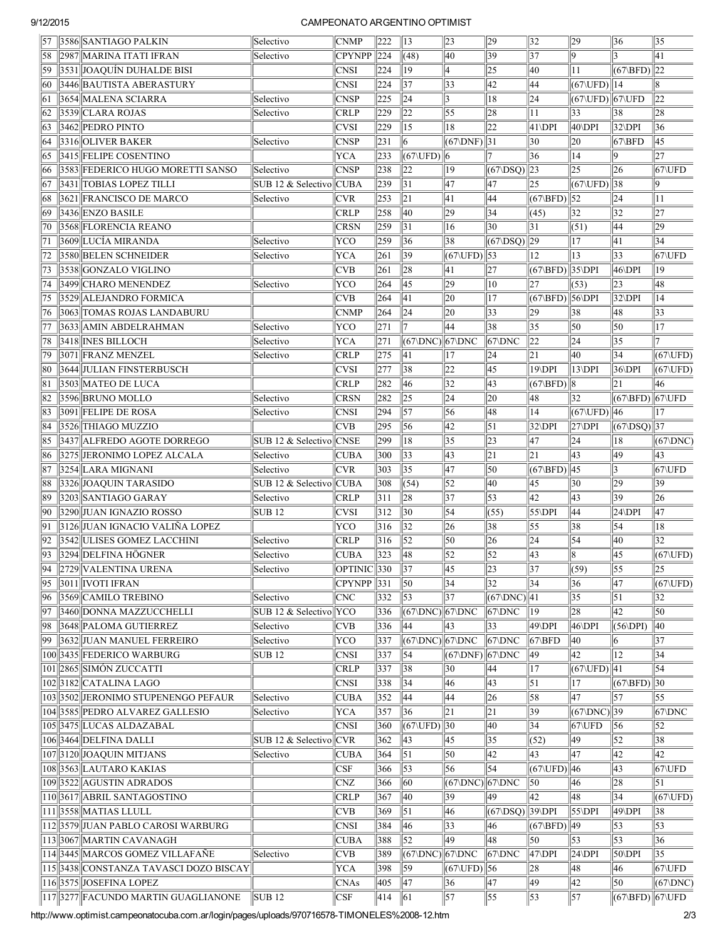## 9/12/2015 CAMPEONATO ARGENTINO OPTIMIST

| $\vert$ 57      | 3586 SANTIAGO PALKIN                     | Selectivo               | <b>CNMP</b>              | 222             | 13                                | $\overline{23}$          | 29                      | 32                      | 29                          | 36                                        | 35                          |
|-----------------|------------------------------------------|-------------------------|--------------------------|-----------------|-----------------------------------|--------------------------|-------------------------|-------------------------|-----------------------------|-------------------------------------------|-----------------------------|
| 58              | 2987 MARINA ITATI IFRAN                  | Selectivo               | <b>CPYNPP</b>            | $\parallel$ 224 | (48)                              | 40                       | 39                      | $\overline{37}$         | 19                          |                                           | 41                          |
| 59              | 3531 JOAQUÍN DUHALDE BISI                |                         | <b>CNSI</b>              | 224             | 19                                | 4                        | $\overline{25}$         | 40                      | 11                          | $(67\cdot\text{BFD})$  22                 |                             |
| 60              | 3446 BAUTISTA ABERASTURY                 |                         | <b>CNSI</b>              | 224             | 37                                | 33                       | 42                      | 44                      | $(67\backslash \text{UFD})$ | 14                                        | 8                           |
| 61              | 3654 MALENA SCIARRA                      | Selectivo               | <b>CNSP</b>              | 225             | $\overline{24}$                   | 3                        | 18                      | 24                      | (67\UFD) 67\UFD             |                                           | $\sqrt{22}$                 |
| 62              | 3539 CLARA ROJAS                         | Selectivo               | <b>CRLP</b>              | 229             | $\overline{22}$                   | 55                       | 28                      | 11                      | $ 33\rangle$                | 38                                        | 28                          |
| 63              | 3462 PEDRO PINTO                         |                         | <b>CVSI</b>              | 229             | 15                                | 18                       | $\overline{22}$         | $41\text{DPI}$          | $40\angle DPI$              | 32\DPI                                    | $\vert$ 36                  |
| 64              | 3316 OLIVER BAKER                        | Selectivo               | <b>CNSP</b>              | 231             | 6                                 | $(67 \text{DNF})$ 31     |                         | 30                      | 20                          | $67\$ BFD                                 | 45                          |
| 65              | 3415 FELIPE COSENTINO                    |                         | <b>YCA</b>               | 233             | $(67\backslash \text{UFD})$ $ 6$  |                          |                         | 36                      | 14                          | 9                                         | 27                          |
| 66              | 3583 FEDERICO HUGO MORETTI SANSO         | Selectivo               | <b>CNSP</b>              | 238             | 22                                | 19                       | $(67 \triangle DSQ)$ 23 |                         | 25                          | 26                                        | $67$ UFD                    |
| 67              | 3431 TOBIAS LOPEZ TILLI                  | SUB 12 & Selectivo      | CUBA                     | 239             | 31                                | 47                       | 47                      | 25                      | $(67\backslash \text{UFD})$ | 38                                        | 9                           |
| 68              | 3621 FRANCISCO DE MARCO                  | Selectivo               | <b>CVR</b>               | 253             | 21                                | $\overline{41}$          | 44                      | $(67\cdot\text{BFD})$   | $\vert$ 52                  | 24                                        | 11                          |
| 69              | 3436 ENZO BASILE                         |                         | CRLP                     | 258             | 40                                | $\sqrt{29}$              | $\vert$ 34              | (45)                    | $ 32\rangle$                | 32                                        | 27                          |
| 70              | 3568 FLORENCIA REANO                     |                         | <b>CRSN</b>              | 259             | 31                                | 16                       | 30                      | 31                      | (51)                        | 44                                        | 29                          |
| 71              | 3609 LUCÍA MIRANDA                       | Selectivo               | YCO                      | 259             | 36                                | 38                       | $(67\overline{DSQ})$ 29 |                         | 17                          | 41                                        | 34                          |
|                 |                                          |                         |                          |                 |                                   |                          |                         |                         |                             |                                           |                             |
| 72              | 3580 BELEN SCHNEIDER                     | Selectivo               | <b>YCA</b>               | 261             | 39                                | $(67\text{VIFD})$ 53     |                         | 12                      | 13                          | 33                                        | 67\UFD                      |
| 73              | 3538 GONZALO VIGLINO                     |                         | <b>CVB</b>               | 261             | 28                                | 41                       | 27                      | $(67\sqrt{BFD})$ 35\DPI |                             | 46\DPI                                    | 19                          |
| $\overline{74}$ | 3499 CHARO MENENDEZ                      | Selectivo               | YCO                      | 264             | 45                                | $\overline{29}$          | 10                      | 27                      | (53)                        | 23                                        | 48                          |
| 75              | 3529 ALEJANDRO FORMICA                   |                         | <b>CVB</b>               | 264             | 41                                | 20                       | 17                      | (67\BFD) 56\DPI         |                             | 32\DPI                                    | 14                          |
| 76              | 3063 TOMAS ROJAS LANDABURU               |                         | <b>CNMP</b>              | 264             | $\overline{24}$                   | 20                       | $\overline{33}$         | 29                      | 38                          | 48                                        | $\overline{33}$             |
| 177             | 3633 AMIN ABDELRAHMAN                    | Selectivo               | YCO                      | 271             | 17                                | 44                       | 38                      | 35                      | $\overline{50}$             | 50                                        | $\overline{17}$             |
| 78              | 3418 INES BILLOCH                        | Selectivo               | <b>YCA</b>               | 271             | $(67 \text{DNC})$ 67 DNC          |                          | $ 67\rangle$ DNC        | $\sqrt{22}$             | $\sqrt{24}$                 | 35                                        | 17                          |
| 79              | 3071 FRANZ MENZEL                        | Selectivo               | <b>CRLP</b>              | 275             | 41                                | 17                       | 24                      | 21                      | 40                          | 34                                        | $(67\backslash \text{UFD})$ |
| 80              | 3644 JULIAN FINSTERBUSCH                 |                         | <b>CVSI</b>              | 277             | 38                                | 22                       | 45                      | 19\DPI                  | $13\ DPI$                   | 36\DPI                                    | $(67\backslash \text{UFD})$ |
| 81              | 3503 MATEO DE LUCA                       |                         | <b>CRLP</b>              | 282             | 46                                | $\overline{32}$          | 43                      | $(67\cdot\text{BFD})$ 8 |                             | 21                                        | 46                          |
| 82              | 3596 BRUNO MOLLO                         | Selectivo               | <b>CRSN</b>              | 282             | 25                                | $\overline{24}$          | 20                      | 48                      | 32                          | $(67\cdot\text{BFD})$ $67\cdot\text{UFD}$ |                             |
| 83              | 3091 FELIPE DE ROSA                      | Selectivo               | <b>CNSI</b>              | 294             | 57                                | 56                       | 48                      | 14                      | $(67\text{VIFD})$ 46        |                                           | 17                          |
| 84              | 3526 THIAGO MUZZIO                       |                         | <b>CVB</b>               | 295             | 56                                | $\overline{42}$          | 51                      | $32\text{DPI}$          | $27\overline{DPI}$          | $(67\overline{DSQ})\overline{37}$         |                             |
| 85              | 3437 ALFREDO AGOTE DORREGO               | SUB 12 & Selectivo      | $ $ CNSE                 | 299             | 18                                | 35                       | $\overline{23}$         | 47                      | 24                          | 18                                        | $(67 \text{NDC})$           |
| 86              | 3275 JERONIMO LOPEZ ALCALA               | Selectivo               | <b>CUBA</b>              | 300             | $ 33\rangle$                      | $\overline{43}$          | $\overline{21}$         | 21                      | 43                          | 49                                        | 43                          |
| 87              | 3254 LARA MIGNANI                        | Selectivo               | <b>CVR</b>               | 303             | 35                                | 47                       | 50                      | $(67\overline{BFD})$ 45 |                             | 3                                         | 67\UFD                      |
| 88              | 3326 JOAQUIN TARASIDO                    | SUB 12 & Selectivo CUBA |                          | 308             | (54)                              | $\vert$ 52               | 40                      | 45                      | 30                          | 29                                        | 39                          |
| 89              | 3203 SANTIAGO GARAY                      | Selectivo               | <b>CRLP</b>              | 311             | 28                                | 37                       | $\overline{53}$         | 42                      | $\overline{43}$             | 39                                        | $\ 26\ $                    |
| 90              | 3290 JUAN IGNAZIO ROSSO                  | <b>SUB12</b>            | <b>CVSI</b>              | $ 312$          | 30                                | $\vert$ 54               | (55)                    | $55\,$ DPI              | 44                          | 24\DPI                                    | 47                          |
| 91              | 3126 JUAN IGNACIO VALIÑA LOPEZ           |                         | YCO                      | 316             | 32                                | 26                       | 38                      | 55                      | 38                          | 54                                        | 18                          |
| 92              | 3542 ULISES GOMEZ LACCHINI               | Selectivo               | <b>CRLP</b>              | 316             | $\overline{52}$                   | 50                       | 26                      | 24                      | $\overline{54}$             | 40                                        | 32                          |
| 93              | 3294 DELFINA HÖGNER                      | Selectivo               | <b>CUBA</b>              | 323             | 48                                | 52                       | $\overline{52}$         | $\overline{43}$         | 18                          | 45                                        | $(67\backslash \text{UFD})$ |
| $\overline{94}$ | <b>2729 VALENTINA URENA</b>              |                         | $\overline{OPTINIC}$ 330 |                 | $\overline{\overline{37}}$        | $\overline{45}$          |                         | $\overline{37}$         | (59)                        | $\overline{55}$                           |                             |
|                 |                                          | Selectivo               |                          |                 |                                   |                          | $\vert 23 \rangle$      |                         |                             |                                           | 25                          |
| 95              | 3011 IVOTI IFRAN                         |                         | $CPYNPP$ 331             |                 | 50                                | 34                       | $ 32\rangle$            | 34                      | 36                          | 47                                        | $(67\backslash \text{UFD})$ |
| 96              | 3569 CAMILO TREBINO                      | Selectivo               | <b>CNC</b>               | 332             | 53                                | 37                       | $(67 \text{DNC})$  41   |                         | 35                          | 51                                        | 32                          |
| 97              | 3460 DONNA MAZZUCCHELLI                  | SUB 12 & Selectivo YCO  |                          | 336             | $(67 \text{DNC})$ 67 DNC          |                          | $67$ DNC                | 19                      | 28                          | 42                                        | 50                          |
| 98              | 3648 PALOMA GUTIERREZ                    | Selectivo               | <b>CVB</b>               | 336             | 44                                | 43                       | 33                      | 49\DPI                  | 46\DPI                      | $(56\,DPI)$                               | 40                          |
| 99              | 3632 JUAN MANUEL FERREIRO                | Selectivo               | YCO                      | 337             | $(67 \text{DNC})$ 67 DNC          |                          | $ 67\rangle$ DNC        | $67\cdot$ BFD           | 40                          | 6                                         | 37                          |
|                 | 100 3435 FEDERICO WARBURG                | <b>SUB12</b>            | <b>CNSI</b>              | 337             | 54                                | $(67 \text{N}DNF)$       | $ 67\rangle$ DNC        | 49                      | 42                          | 12                                        | 34                          |
| 101             | 2865  SIMÓN ZUCCATTI                     |                         | <b>CRLP</b>              | 337             | 38                                | 30                       | 44                      | 17                      | $(67\text{UFD})$ 41         |                                           | 54                          |
|                 | 102  3182  CATALINA LAGO                 |                         | <b>CNSI</b>              | 338             | 34                                | 46                       | 43                      | 51                      | 17                          | $ (67\backslash\text{BFD})  30$           |                             |
|                 | 103 3502 JERONIMO STUPENENGO PEFAUR      | Selectivo               | <b>CUBA</b>              | 352             | 44                                | 44                       | 26                      | 58                      | 47                          | 57                                        | 55                          |
|                 | 104 3585 PEDRO ALVAREZ GALLESIO          | Selectivo               | <b>YCA</b>               | 357             | 36                                | 21                       | 21                      | 39                      | $(67 \text{DNC})$ 39        |                                           | 67\DNC                      |
|                 | 105  3475  LUCAS ALDAZABAL               |                         | <b>CNSI</b>              | 360             | $(67\backslash \text{UFD})$ 30    |                          | 40                      | 34                      | 67\UFD                      | 56                                        | 52                          |
|                 | 106  3464  DELFINA DALLI                 | SUB 12 & Selectivo      | CVR                      | 362             | 43                                | 45                       | 35                      | (52)                    | 49                          | 52                                        | $\sqrt{38}$                 |
|                 | 107  3120  JOAQUIN MITJANS               | Selectivo               | <b>CUBA</b>              | 364             | 51                                | 50                       | 42                      | 43                      | 47                          | 42                                        | 42                          |
|                 | 108  3563  LAUTARO KAKIAS                |                         | <b>CSF</b>               | 366             | 53                                | 56                       | 54                      | $(67\text{UFD})$ 46     |                             | 43                                        | $67$ UFD                    |
|                 | 109  3522  AGUSTIN ADRADOS               |                         | <b>CNZ</b>               | 366             | 60                                | $(67 \text{DNC})$ 67 DNC |                         | 50                      | 46                          | 28                                        | 51                          |
|                 | 110 3617 ABRIL SANTAGOSTINO              |                         | <b>CRLP</b>              | 367             | 40                                | 39                       | 49                      | 42                      | 48                          | 34                                        | $(67\backslash \text{UFD})$ |
|                 | 111  3558  MATIAS LLULL                  |                         | <b>CVB</b>               | 369             | $\vert 51 \vert$                  | 46                       | (67\DSQ) 39\DPI         |                         | $55\,$ DPI                  | 49\DPI                                    | 38                          |
|                 | 1123579JJUAN PABLO CAROSI WARBURG        |                         | <b>CNSI</b>              | 384             | 46                                | 33                       | 46                      | $(67\cdot BFD)$         | 49                          | 53                                        | 53                          |
|                 | 113  3067  MARTIN CAVANAGH               |                         | <b>CUBA</b>              | 388             | 52                                | 49                       | 48                      | 50                      | 53                          | 53                                        | 36                          |
|                 | 114  3445  MARCOS GOMEZ VILLAFAÑE        | Selectivo               | <b>CVB</b>               | 389             | $(67 \text{DNC})$ $67 \text{DNC}$ |                          | $67$ DNC                | $47$ DPI                | $24$ DPI                    | 50\DPI                                    | 35                          |
|                 | 115  3438  CONSTANZA TAVASCI DOZO BISCAY |                         | <b>YCA</b>               | 398             | 59                                | $(67\text{V}UPD)$ 56     |                         | 28                      | 48                          | 46                                        | 67\UFD                      |
|                 | 116  3575  JOSEFINA LOPEZ                |                         | <b>CNAs</b>              | 405             | 47                                | 36                       | 47                      | 49                      | 42                          | 50                                        | $(67 \text{NDC})$           |
|                 | 117  3277  FACUNDO MARTIN GUAGLIANONE    | <b>SUB12</b>            |                          |                 |                                   | $\vert$ 57               | $\overline{55}$         | $\vert$ 53              | 57                          | $(67\cdot\text{BFD})$ $67\cdot\text{UFD}$ |                             |
|                 |                                          |                         | <b>CSF</b>               | 414             | $\vert$ 61                        |                          |                         |                         |                             |                                           |                             |

 $\frac{\|11}{\|22}\|$ racusio Martin Guadianone  $\frac{\|300\|^2}{2}$   $\frac{\|300\|^2}{2}$   $\frac{\|300\|^2}{2}$   $\frac{\|300\|^2}{2}$   $\frac{\|300\|^2}{2}$   $\frac{\|300\|^2}{2}$   $\frac{\|300\|^2}{2}$   $\frac{\|300\|^2}{2}$   $\frac{\|300\|^2}{2}$   $\frac{\|300\|^2}{2}$   $\frac{\|300\|^2}{2}$   $\frac{\$